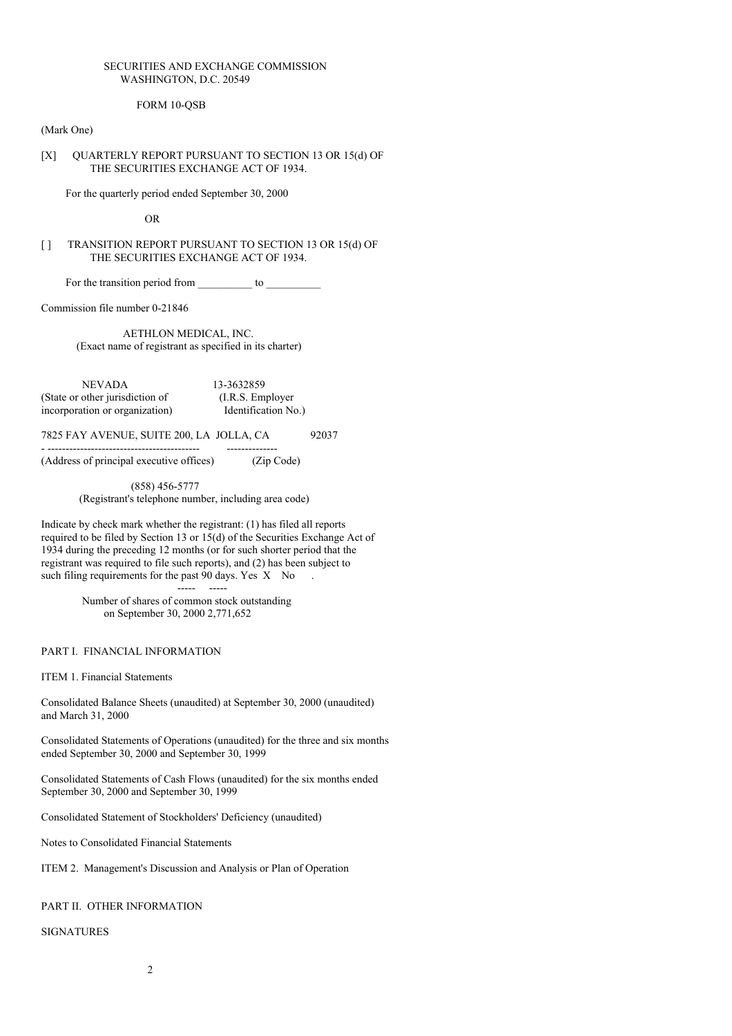# SECURITIES AND EXCHANGE COMMISSION WASHINGTON, D.C. 20549

# FORM 10-QSB

#### (Mark One)

## [X] QUARTERLY REPORT PURSUANT TO SECTION 13 OR 15(d) OF THE SECURITIES EXCHANGE ACT OF 1934.

For the quarterly period ended September 30, 2000

OR

## [ ] TRANSITION REPORT PURSUANT TO SECTION 13 OR 15(d) OF THE SECURITIES EXCHANGE ACT OF 1934.

For the transition period from \_\_\_\_\_\_\_\_\_\_ to \_\_\_\_\_\_\_\_\_\_

Commission file number 0-21846

AETHLON MEDICAL, INC. (Exact name of registrant as specified in its charter)

NEVADA 13-3632859<br>other jurisdiction of (I.R.S. Employer (State or other jurisdiction of incorporation or organization) Identification No.)

7825 FAY AVENUE, SUITE 200, LA JOLLA, CA 92037

- ------------------------------------------ -------------- (Address of principal executive offices) (Zip Code)

(858) 456-5777

(Registrant's telephone number, including area code)

Indicate by check mark whether the registrant: (1) has filed all reports required to be filed by Section 13 or 15(d) of the Securities Exchange Act of 1934 during the preceding 12 months (or for such shorter period that the registrant was required to file such reports), and (2) has been subject to such filing requirements for the past 90 days. Yes X No

----- -----

Number of shares of common stock outstanding on September 30, 2000 2,771,652

#### PART I. FINANCIAL INFORMATION

ITEM 1. Financial Statements

Consolidated Balance Sheets (unaudited) at September 30, 2000 (unaudited) and March 31, 2000

Consolidated Statements of Operations (unaudited) for the three and six months ended September 30, 2000 and September 30, 1999

Consolidated Statements of Cash Flows (unaudited) for the six months ended September 30, 2000 and September 30, 1999

Consolidated Statement of Stockholders' Deficiency (unaudited)

Notes to Consolidated Financial Statements

ITEM 2. Management's Discussion and Analysis or Plan of Operation

#### PART II. OTHER INFORMATION

#### SIGNATURES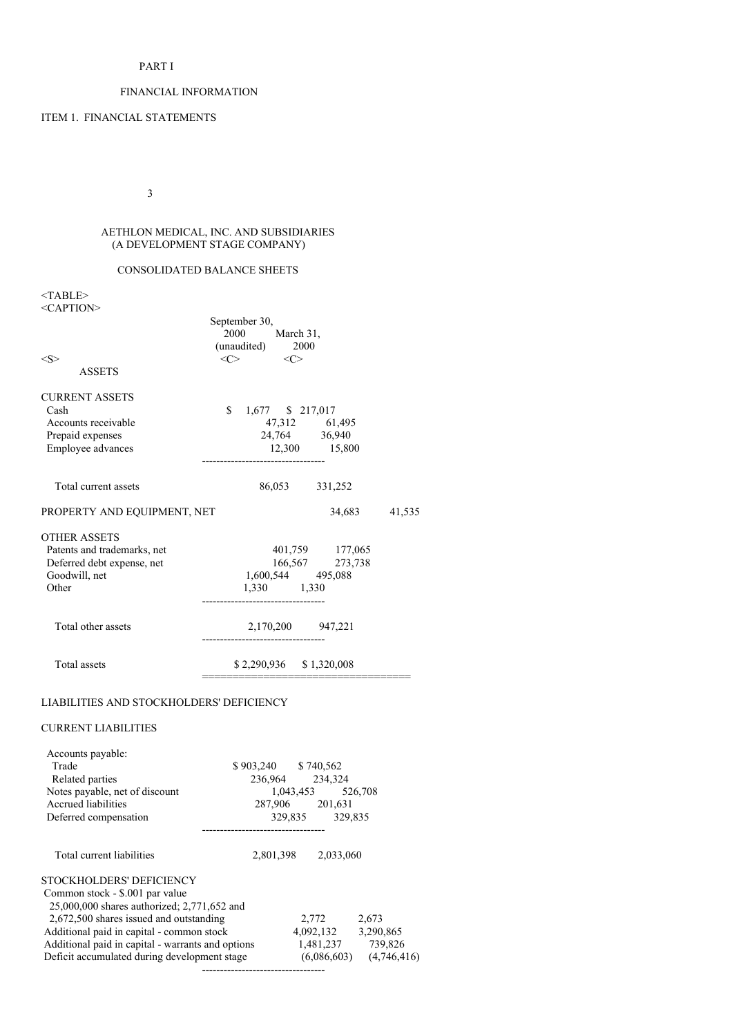## PART I

# FINANCIAL INFORMATION

# ITEM 1. FINANCIAL STATEMENTS

3

## AETHLON MEDICAL, INC. AND SUBSIDIARIES (A DEVELOPMENT STAGE COMPANY)

## CONSOLIDATED BALANCE SHEETS

<TABLE> <CAPTION>

| < S ><br><b>ASSETS</b>                                                                                                                                                                             | September 30,<br>2000 March 31,<br>(unaudited) $2000$<br>$\langle C \rangle$ $\langle C \rangle$ |                                                                            |           |        |
|----------------------------------------------------------------------------------------------------------------------------------------------------------------------------------------------------|--------------------------------------------------------------------------------------------------|----------------------------------------------------------------------------|-----------|--------|
| <b>CURRENT ASSETS</b><br>Cash<br>Accounts receivable<br>Prepaid expenses<br>Employee advances                                                                                                      | $$1,677$ \$ 217,017                                                                              | 47,312 61,495<br>24,764 36,940<br>$12,300$ $15,800$                        |           |        |
| Total current assets                                                                                                                                                                               |                                                                                                  | 86,053 331,252                                                             |           |        |
| PROPERTY AND EQUIPMENT, NET                                                                                                                                                                        |                                                                                                  |                                                                            | 34,683    | 41,535 |
| <b>OTHER ASSETS</b><br>Patents and trademarks, net<br>Deferred debt expense, net<br>Goodwill, net<br>Other                                                                                         | 166,567 273,738<br>1,600,544 495,088<br>1,330 1,330                                              | 401,759 177,065                                                            |           |        |
| Total other assets                                                                                                                                                                                 | 2,170,200 947,221                                                                                |                                                                            |           |        |
| Total assets                                                                                                                                                                                       | \$2,290,936 \$1,320,008                                                                          |                                                                            |           |        |
| LIABILITIES AND STOCKHOLDERS' DEFICIENCY                                                                                                                                                           |                                                                                                  |                                                                            |           |        |
| <b>CURRENT LIABILITIES</b>                                                                                                                                                                         |                                                                                                  |                                                                            |           |        |
| Accounts payable:<br>Trade<br>Related parties<br>Notes payable, net of discount<br>Accrued liabilities<br>Deferred compensation                                                                    | \$903,240 \$740,562                                                                              | 236,964 234,324<br>1,043,453 526,708<br>287,906 201,631<br>329,835 329,835 |           |        |
| Total current liabilities                                                                                                                                                                          |                                                                                                  | 2,801,398 2,033,060                                                        |           |        |
| STOCKHOLDERS' DEFICIENCY<br>Common stock - \$.001 par value<br>25,000,000 shares authorized; 2,771,652 and<br>2,672,500 shares issued and outstanding<br>Additional paid in capital - common stock |                                                                                                  | 2,772 2,673<br>4,092,132                                                   | 3,290,865 |        |

Additional paid in capital - warrants and options 1,481,237 739,826 Deficit accumulated during development stage (6,086,603) (4,746,416)

----------------------------------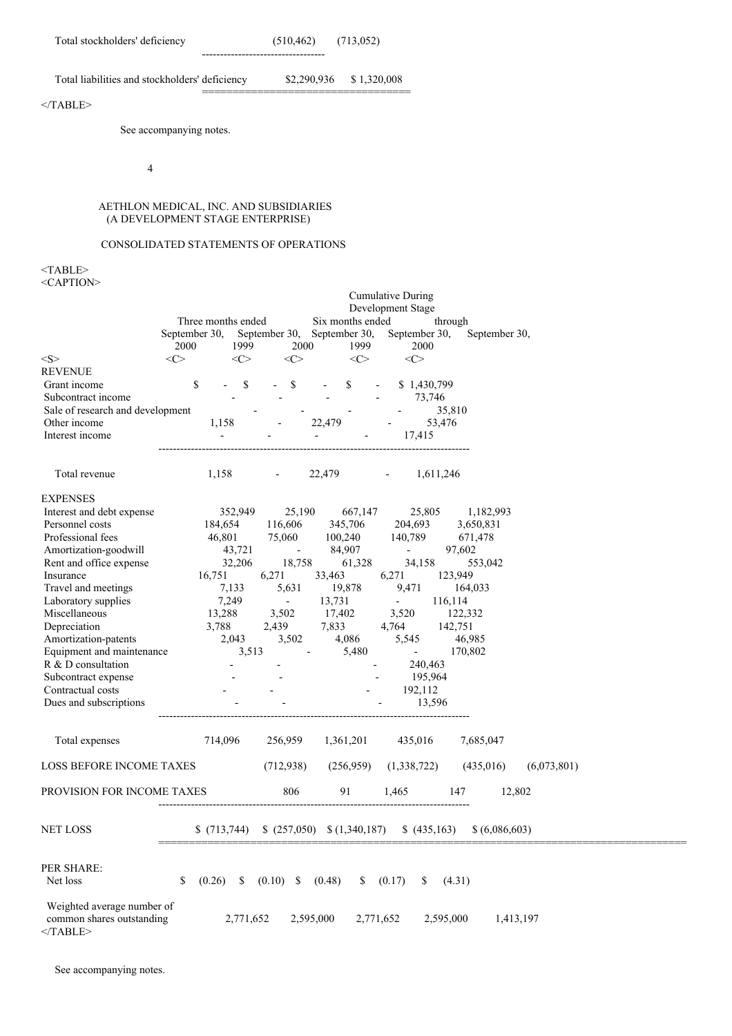==================================

Total liabilities and stockholders' deficiency \$2,290,936 \$ 1,320,008

# $<$ /TABLE>

See accompanying notes.

4

## AETHLON MEDICAL, INC. AND SUBSIDIARIES (A DEVELOPMENT STAGE ENTERPRISE)

## CONSOLIDATED STATEMENTS OF OPERATIONS

<TABLE> <CAPTION>

|                                                                        | <b>Cumulative During</b><br>Development Stage                                                                                                                            |
|------------------------------------------------------------------------|--------------------------------------------------------------------------------------------------------------------------------------------------------------------------|
|                                                                        | Three months ended<br>Six months ended<br>through<br>September 30, September 30, September 30,<br>September 30,<br>September 30,<br>1999<br>2000<br>2000<br>1999<br>2000 |
| < S >                                                                  | $<\infty$<br>$<\infty$<br>$<\infty$<br>$\langle C \rangle$<br>$<\infty$                                                                                                  |
| <b>REVENUE</b>                                                         |                                                                                                                                                                          |
| Grant income                                                           | \$<br>$- S$<br>$-$ \$<br>$\mathbb{S}$<br>\$1,430,799                                                                                                                     |
| Subcontract income                                                     | 73,746                                                                                                                                                                   |
| Sale of research and development                                       | 35,810                                                                                                                                                                   |
| Other income                                                           | 53,476<br>1,158<br>22,479<br><b>All Control</b>                                                                                                                          |
| Interest income                                                        | $\sim$<br>17,415<br>$\sim$                                                                                                                                               |
| Total revenue                                                          | 1,158<br>22,479 -<br>1,611,246<br>and the state of the                                                                                                                   |
| <b>EXPENSES</b>                                                        |                                                                                                                                                                          |
| Interest and debt expense                                              | 352,949<br>25,190<br>667,147<br>25,805<br>1,182,993                                                                                                                      |
| Personnel costs                                                        | 184,654<br>116,606<br>345,706<br>204,693<br>3,650,831                                                                                                                    |
| Professional fees                                                      | 100,240 140,789<br>46,801<br>75,060<br>671,478                                                                                                                           |
| Amortization-goodwill                                                  | <b>Contract Contract</b><br>43,721<br>84,907<br>97,602<br><b>Contractor</b>                                                                                              |
| Rent and office expense                                                | 32,206<br>18,758<br>61,328<br>34,158<br>553,042                                                                                                                          |
| Insurance                                                              | 16,751<br>6,271<br>6,271<br>123,949<br>33,463                                                                                                                            |
| Travel and meetings                                                    | 5,631<br>19,878<br>7,133<br>9,471<br>164,033                                                                                                                             |
| Laboratory supplies                                                    | 7,249<br>13,731<br>116,114<br>$\sim 100$ km s $^{-1}$<br>$\Delta \sim 100$                                                                                               |
| Miscellaneous                                                          | 13,288<br>3,502 17,402<br>3,520<br>122,332                                                                                                                               |
| Depreciation                                                           | $7,833$ $4,764$<br>$4\,086$ $5,545$<br>3,788<br>2,439<br>4,764 142,751<br>46,985                                                                                         |
| Amortization-patents<br>Equipment and maintenance                      | 2,043<br>3,502<br>4,086<br>$\mathcal{L}^{\mathcal{L}}(\mathcal{L}^{\mathcal{L}}(\mathcal{L}^{\mathcal{L}}(\mathcal{L}^{\mathcal{L}})))$<br>5,480<br>3,513<br>170,802     |
| R & D consultation                                                     | 240,463                                                                                                                                                                  |
| Subcontract expense                                                    | 195,964                                                                                                                                                                  |
| Contractual costs                                                      | 192,112                                                                                                                                                                  |
| Dues and subscriptions                                                 | 13,596                                                                                                                                                                   |
|                                                                        |                                                                                                                                                                          |
| Total expenses                                                         | 714,096<br>256,959<br>1,361,201 435,016<br>7,685,047                                                                                                                     |
| <b>LOSS BEFORE INCOME TAXES</b>                                        | (712, 938)<br>(6,073,801)<br>(256,959)<br>(1,338,722)<br>(435,016)                                                                                                       |
| PROVISION FOR INCOME TAXES                                             | 806<br>91<br>12,802<br>1,465<br>147                                                                                                                                      |
| <b>NET LOSS</b>                                                        | $(257,050)$ $(1,340,187)$<br>\$(713,744)<br>(435,163)<br>\$ (6,086,603)                                                                                                  |
| PER SHARE:<br>Net loss                                                 | \$<br>(0.26)<br>\$<br>(0.10)<br>(0.48)<br>(0.17)<br>(4.31)<br>\$<br>\$<br>\$                                                                                             |
| Weighted average number of<br>common shares outstanding<br>$<$ /TABLE> | 2,595,000<br>2,595,000<br>1,413,197<br>2,771,652<br>2,771,652                                                                                                            |

See accompanying notes.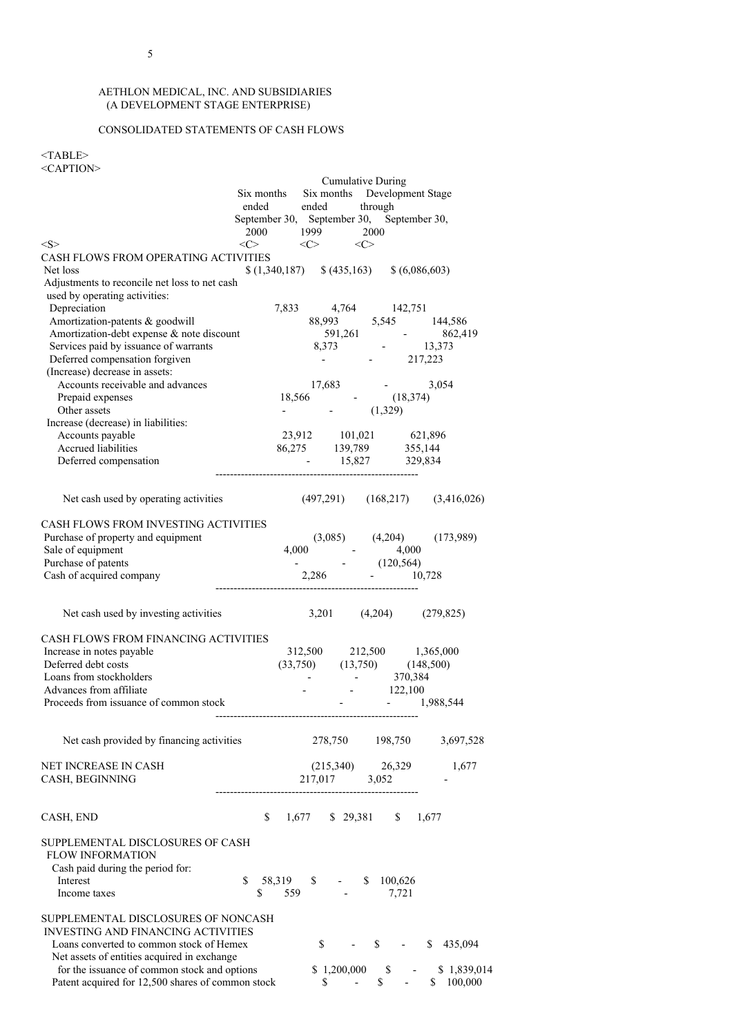# CONSOLIDATED STATEMENTS OF CASH FLOWS

# $<$ TABLE> <CAPTION>

|                                                                                                             |                                                             |        |    | <b>Cumulative During</b>                                                                                                           |              |              |       |                                                                                                                                                         |
|-------------------------------------------------------------------------------------------------------------|-------------------------------------------------------------|--------|----|------------------------------------------------------------------------------------------------------------------------------------|--------------|--------------|-------|---------------------------------------------------------------------------------------------------------------------------------------------------------|
|                                                                                                             | Six months Six months Development Stage                     |        |    |                                                                                                                                    |              |              |       |                                                                                                                                                         |
|                                                                                                             | ended ended through                                         |        |    |                                                                                                                                    |              |              |       |                                                                                                                                                         |
|                                                                                                             | September 30, September 30, September 30,                   |        |    |                                                                                                                                    |              |              |       |                                                                                                                                                         |
|                                                                                                             | 2000 1999 2000                                              |        |    |                                                                                                                                    |              |              |       |                                                                                                                                                         |
| <s></s>                                                                                                     | $\langle C \rangle$ $\langle C \rangle$ $\langle C \rangle$ |        |    |                                                                                                                                    |              |              |       |                                                                                                                                                         |
| CASH FLOWS FROM OPERATING ACTIVITIES                                                                        |                                                             |        |    |                                                                                                                                    |              |              |       |                                                                                                                                                         |
| Net loss                                                                                                    | $(1,340,187)$ $(435,163)$ $(6,086,603)$                     |        |    |                                                                                                                                    |              |              |       |                                                                                                                                                         |
| Adjustments to reconcile net loss to net cash                                                               |                                                             |        |    |                                                                                                                                    |              |              |       |                                                                                                                                                         |
| used by operating activities:<br>Depreciation                                                               |                                                             |        |    |                                                                                                                                    |              |              |       |                                                                                                                                                         |
| Amortization-patents & goodwill                                                                             |                                                             |        |    |                                                                                                                                    |              |              |       |                                                                                                                                                         |
| Amortization-debt expense & note discount                                                                   |                                                             |        |    |                                                                                                                                    |              |              |       |                                                                                                                                                         |
| Services paid by issuance of warrants                                                                       |                                                             |        |    |                                                                                                                                    |              |              |       |                                                                                                                                                         |
| Deferred compensation forgiven                                                                              |                                                             |        |    |                                                                                                                                    |              |              |       | $\begin{array}{cccc} 7,833 & 4,764 & 142,751 \\ 88,993 & 5,545 & 144,586 \\ 591,261 & - & 862,419 \\ 8,373 & - & 13,373 \\ - & - & 217,223 \end{array}$ |
| (Increase) decrease in assets:                                                                              |                                                             |        |    |                                                                                                                                    |              |              |       |                                                                                                                                                         |
| Accounts receivable and advances                                                                            |                                                             |        |    |                                                                                                                                    |              |              |       |                                                                                                                                                         |
| Prepaid expenses                                                                                            |                                                             |        |    |                                                                                                                                    |              |              |       |                                                                                                                                                         |
| Other assets                                                                                                |                                                             |        |    | $\begin{array}{cccc} 17,683 & . & . & . & 3,054 \\ 18,566 & . & . & . & . & . & . \\ . & . & . & . & . & . & . & . \\ \end{array}$ |              |              |       |                                                                                                                                                         |
| Increase (decrease) in liabilities:                                                                         |                                                             |        |    |                                                                                                                                    |              |              |       |                                                                                                                                                         |
| Accounts payable                                                                                            |                                                             |        |    | 23,912 101,021 621,896<br>86,275 139,789 355,144                                                                                   |              |              |       |                                                                                                                                                         |
| Accrued liabilities                                                                                         |                                                             |        |    |                                                                                                                                    |              |              |       |                                                                                                                                                         |
| Deferred compensation                                                                                       |                                                             |        |    | $15,827$ $329,834$                                                                                                                 |              |              |       |                                                                                                                                                         |
|                                                                                                             |                                                             |        |    |                                                                                                                                    |              |              |       |                                                                                                                                                         |
| Net cash used by operating activities (497,291) (168,217) (3,416,026)                                       |                                                             |        |    |                                                                                                                                    |              |              |       |                                                                                                                                                         |
| CASH FLOWS FROM INVESTING ACTIVITIES                                                                        |                                                             |        |    |                                                                                                                                    |              |              |       |                                                                                                                                                         |
| Purchase of property and equipment                                                                          |                                                             |        |    |                                                                                                                                    |              |              |       |                                                                                                                                                         |
| Sale of equipment                                                                                           |                                                             |        |    |                                                                                                                                    |              |              |       | $(4,000$ $(4,204)$ $(173,989)$<br>$(4,000$ $(120,564)$                                                                                                  |
| Purchase of patents                                                                                         |                                                             |        |    |                                                                                                                                    |              |              |       |                                                                                                                                                         |
| Cash of acquired company                                                                                    |                                                             |        |    | 2,286 - 10,728                                                                                                                     |              |              |       |                                                                                                                                                         |
|                                                                                                             |                                                             |        |    |                                                                                                                                    |              |              |       |                                                                                                                                                         |
| Net cash used by investing activities                                                                       |                                                             |        |    | $3,201$ $(4,204)$ $(279,825)$                                                                                                      |              |              |       |                                                                                                                                                         |
| CASH FLOWS FROM FINANCING ACTIVITIES                                                                        |                                                             |        |    |                                                                                                                                    |              |              |       |                                                                                                                                                         |
| Increase in notes payable                                                                                   |                                                             |        |    | 312,500 212,500 1,365,000                                                                                                          |              |              |       |                                                                                                                                                         |
| Deferred debt costs                                                                                         |                                                             |        |    |                                                                                                                                    |              |              |       |                                                                                                                                                         |
| Loans from stockholders                                                                                     |                                                             |        |    |                                                                                                                                    |              |              |       |                                                                                                                                                         |
| Advances from affiliate                                                                                     |                                                             |        |    | $(33,750)$ $(13,750)$ $(148,500)$<br>$ 370,384$<br>$ 122,100$                                                                      |              |              |       |                                                                                                                                                         |
| Proceeds from issuance of common stock                                                                      |                                                             |        |    |                                                                                                                                    |              | $-1,988,544$ |       |                                                                                                                                                         |
|                                                                                                             |                                                             |        |    |                                                                                                                                    |              |              |       |                                                                                                                                                         |
| Net cash provided by financing activities                                                                   |                                                             |        |    | 278,750 198,750                                                                                                                    |              |              |       | 3,697,528                                                                                                                                               |
| NET INCREASE IN CASH                                                                                        |                                                             |        |    | $(215,340)$ 26,329                                                                                                                 |              |              |       | 1,677                                                                                                                                                   |
| CASH, BEGINNING                                                                                             |                                                             |        |    | 217,017                                                                                                                            | 3,052        |              |       |                                                                                                                                                         |
|                                                                                                             |                                                             |        |    |                                                                                                                                    |              |              |       |                                                                                                                                                         |
| CASH, END                                                                                                   | \$                                                          |        |    | $1,677$ \$ 29,381                                                                                                                  |              | S.           | 1,677 |                                                                                                                                                         |
| SUPPLEMENTAL DISCLOSURES OF CASH<br><b>FLOW INFORMATION</b><br>Cash paid during the period for:<br>Interest | \$                                                          | 58,319 |    | $\$\quad -\quad \quad \$\quad 100,626$                                                                                             |              |              |       |                                                                                                                                                         |
| Income taxes                                                                                                | \$                                                          | 559    |    |                                                                                                                                    |              | 7,721        |       |                                                                                                                                                         |
| SUPPLEMENTAL DISCLOSURES OF NONCASH<br>INVESTING AND FINANCING ACTIVITIES                                   |                                                             |        |    |                                                                                                                                    |              |              |       |                                                                                                                                                         |
| Loans converted to common stock of Hemex                                                                    |                                                             |        | \$ |                                                                                                                                    | $\mathbb{S}$ | $\sim 100$   | S.    | 435,094                                                                                                                                                 |
| Net assets of entities acquired in exchange<br>for the issuance of common stock and options                 |                                                             |        |    | \$1,200,000                                                                                                                        |              | \$           |       | \$1,839,014                                                                                                                                             |
| Patent acquired for 12,500 shares of common stock                                                           |                                                             |        | \$ |                                                                                                                                    | \$           |              | \$    | 100,000                                                                                                                                                 |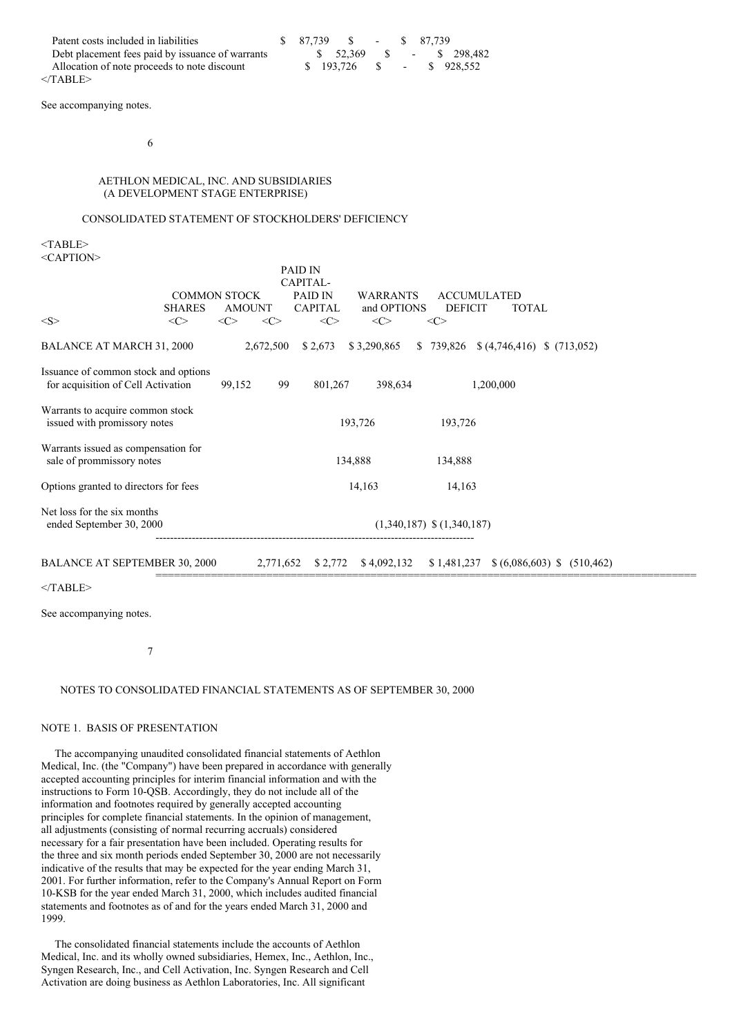| Patent costs included in liabilities             |  | \$ 87.739 \$ - |  | \$ 87.739 |                         |
|--------------------------------------------------|--|----------------|--|-----------|-------------------------|
| Debt placement fees paid by issuance of warrants |  |                |  |           |                         |
| Allocation of note proceeds to note discount     |  | \$ 193,726     |  |           | $\text{S}$ - \$ 928.552 |
| /TABLE>>                                         |  |                |  |           |                         |

See accompanying notes.

## 6

## AETHLON MEDICAL, INC. AND SUBSIDIARIES (A DEVELOPMENT STAGE ENTERPRISE)

## CONSOLIDATED STATEMENT OF STOCKHOLDERS' DEFICIENCY

<TABLE> <CAPTION>

|                                                                            |                                      |        |                           | <b>PAID IN</b><br>CAPITAL-     |             |                                                      |                    |             |  |
|----------------------------------------------------------------------------|--------------------------------------|--------|---------------------------|--------------------------------|-------------|------------------------------------------------------|--------------------|-------------|--|
|                                                                            | <b>COMMON STOCK</b><br><b>AMOUNT</b> |        | PAID IN<br><b>CAPITAL</b> | <b>WARRANTS</b><br>and OPTIONS |             | <b>ACCUMULATED</b><br><b>DEFICIT</b><br><b>TOTAL</b> |                    |             |  |
| <s></s>                                                                    | <b>SHARES</b><br>$<\infty$           | <<>    | $<\infty$                 | $<\infty$                      | $<\infty$   | $<\infty$                                            |                    |             |  |
| <b>BALANCE AT MARCH 31, 2000</b>                                           |                                      |        | 2,672,500                 | \$2,673                        | \$3,290,865 | \$739,826                                            | (4,746,416)        | \$(713,052) |  |
| Issuance of common stock and options<br>for acquisition of Cell Activation |                                      | 99,152 | 99                        | 801,267                        | 398,634     |                                                      | 1,200,000          |             |  |
| Warrants to acquire common stock<br>issued with promissory notes           |                                      |        |                           |                                | 193,726     | 193,726                                              |                    |             |  |
| Warrants issued as compensation for<br>sale of prommissory notes           |                                      |        |                           |                                | 134,888     | 134,888                                              |                    |             |  |
| Options granted to directors for fees                                      |                                      |        |                           |                                | 14,163      | 14,163                                               |                    |             |  |
| Net loss for the six months<br>ended September 30, 2000                    |                                      |        |                           |                                |             | $(1,340,187)$ \$ $(1,340,187)$                       |                    |             |  |
| <b>BALANCE AT SEPTEMBER 30, 2000</b>                                       |                                      |        | 2,771,652                 | \$2,772                        | \$4,092,132 | \$1,481,237                                          | $$ (6,086,603)$ \$ | (510, 462)  |  |

========================================================================================

 $<$ /TABLE>

See accompanying notes.

#### 7

#### NOTES TO CONSOLIDATED FINANCIAL STATEMENTS AS OF SEPTEMBER 30, 2000

#### NOTE 1. BASIS OF PRESENTATION

The accompanying unaudited consolidated financial statements of Aethlon Medical, Inc. (the "Company") have been prepared in accordance with generally accepted accounting principles for interim financial information and with the instructions to Form 10-QSB. Accordingly, they do not include all of the information and footnotes required by generally accepted accounting principles for complete financial statements. In the opinion of management, all adjustments (consisting of normal recurring accruals) considered necessary for a fair presentation have been included. Operating results for the three and six month periods ended September 30, 2000 are not necessarily indicative of the results that may be expected for the year ending March 31, 2001. For further information, refer to the Company's Annual Report on Form 10-KSB for the year ended March 31, 2000, which includes audited financial statements and footnotes as of and for the years ended March 31, 2000 and 1999.

The consolidated financial statements include the accounts of Aethlon Medical, Inc. and its wholly owned subsidiaries, Hemex, Inc., Aethlon, Inc., Syngen Research, Inc., and Cell Activation, Inc. Syngen Research and Cell Activation are doing business as Aethlon Laboratories, Inc. All significant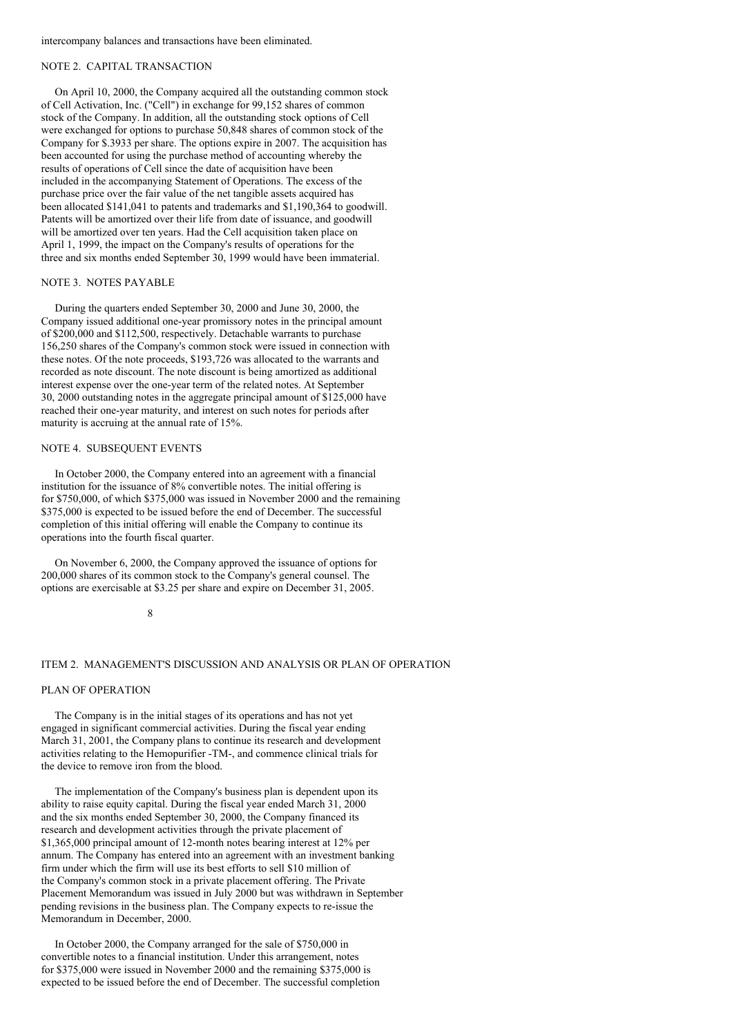intercompany balances and transactions have been eliminated.

## NOTE 2. CAPITAL TRANSACTION

On April 10, 2000, the Company acquired all the outstanding common stock of Cell Activation, Inc. ("Cell") in exchange for 99,152 shares of common stock of the Company. In addition, all the outstanding stock options of Cell were exchanged for options to purchase 50,848 shares of common stock of the Company for \$.3933 per share. The options expire in 2007. The acquisition has been accounted for using the purchase method of accounting whereby the results of operations of Cell since the date of acquisition have been included in the accompanying Statement of Operations. The excess of the purchase price over the fair value of the net tangible assets acquired has been allocated \$141,041 to patents and trademarks and \$1,190,364 to goodwill. Patents will be amortized over their life from date of issuance, and goodwill will be amortized over ten years. Had the Cell acquisition taken place on April 1, 1999, the impact on the Company's results of operations for the three and six months ended September 30, 1999 would have been immaterial.

## NOTE 3. NOTES PAYABLE

During the quarters ended September 30, 2000 and June 30, 2000, the Company issued additional one-year promissory notes in the principal amount of \$200,000 and \$112,500, respectively. Detachable warrants to purchase 156,250 shares of the Company's common stock were issued in connection with these notes. Of the note proceeds, \$193,726 was allocated to the warrants and recorded as note discount. The note discount is being amortized as additional interest expense over the one-year term of the related notes. At September 30, 2000 outstanding notes in the aggregate principal amount of \$125,000 have reached their one-year maturity, and interest on such notes for periods after maturity is accruing at the annual rate of 15%.

#### NOTE 4. SUBSEQUENT EVENTS

In October 2000, the Company entered into an agreement with a financial institution for the issuance of 8% convertible notes. The initial offering is for \$750,000, of which \$375,000 was issued in November 2000 and the remaining \$375,000 is expected to be issued before the end of December. The successful completion of this initial offering will enable the Company to continue its operations into the fourth fiscal quarter.

On November 6, 2000, the Company approved the issuance of options for 200,000 shares of its common stock to the Company's general counsel. The options are exercisable at \$3.25 per share and expire on December 31, 2005.

8

## ITEM 2. MANAGEMENT'S DISCUSSION AND ANALYSIS OR PLAN OF OPERATION

#### PLAN OF OPERATION

The Company is in the initial stages of its operations and has not yet engaged in significant commercial activities. During the fiscal year ending March 31, 2001, the Company plans to continue its research and development activities relating to the Hemopurifier -TM-, and commence clinical trials for the device to remove iron from the blood.

The implementation of the Company's business plan is dependent upon its ability to raise equity capital. During the fiscal year ended March 31, 2000 and the six months ended September 30, 2000, the Company financed its research and development activities through the private placement of \$1,365,000 principal amount of 12-month notes bearing interest at 12% per annum. The Company has entered into an agreement with an investment banking firm under which the firm will use its best efforts to sell \$10 million of the Company's common stock in a private placement offering. The Private Placement Memorandum was issued in July 2000 but was withdrawn in September pending revisions in the business plan. The Company expects to re-issue the Memorandum in December, 2000.

In October 2000, the Company arranged for the sale of \$750,000 in convertible notes to a financial institution. Under this arrangement, notes for \$375,000 were issued in November 2000 and the remaining \$375,000 is expected to be issued before the end of December. The successful completion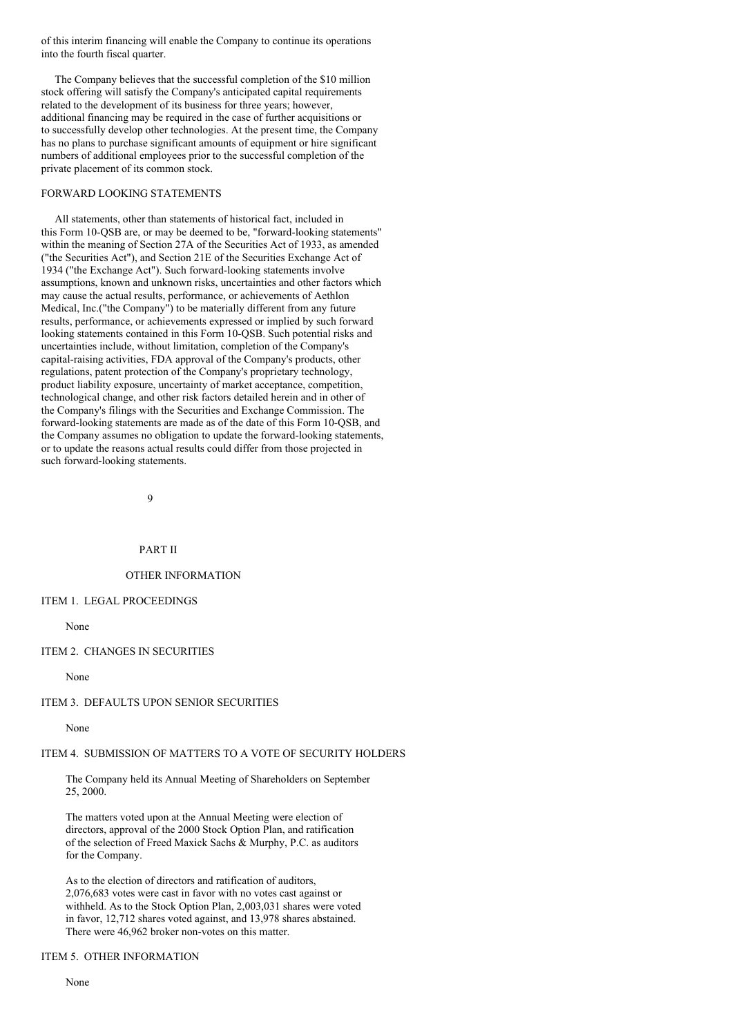of this interim financing will enable the Company to continue its operations into the fourth fiscal quarter.

The Company believes that the successful completion of the \$10 million stock offering will satisfy the Company's anticipated capital requirements related to the development of its business for three years; however, additional financing may be required in the case of further acquisitions or to successfully develop other technologies. At the present time, the Company has no plans to purchase significant amounts of equipment or hire significant numbers of additional employees prior to the successful completion of the private placement of its common stock.

### FORWARD LOOKING STATEMENTS

All statements, other than statements of historical fact, included in this Form 10-QSB are, or may be deemed to be, "forward-looking statements" within the meaning of Section 27A of the Securities Act of 1933, as amended ("the Securities Act"), and Section 21E of the Securities Exchange Act of 1934 ("the Exchange Act"). Such forward-looking statements involve assumptions, known and unknown risks, uncertainties and other factors which may cause the actual results, performance, or achievements of Aethlon Medical, Inc.("the Company") to be materially different from any future results, performance, or achievements expressed or implied by such forward looking statements contained in this Form 10-QSB. Such potential risks and uncertainties include, without limitation, completion of the Company's capital-raising activities, FDA approval of the Company's products, other regulations, patent protection of the Company's proprietary technology, product liability exposure, uncertainty of market acceptance, competition, technological change, and other risk factors detailed herein and in other of the Company's filings with the Securities and Exchange Commission. The forward-looking statements are made as of the date of this Form 10-QSB, and the Company assumes no obligation to update the forward-looking statements, or to update the reasons actual results could differ from those projected in such forward-looking statements.

 $\overline{9}$ 

## PART II

#### OTHER INFORMATION

#### ITEM 1. LEGAL PROCEEDINGS

None

#### ITEM 2. CHANGES IN SECURITIES

None

#### ITEM 3. DEFAULTS UPON SENIOR SECURITIES

None

# ITEM 4. SUBMISSION OF MATTERS TO A VOTE OF SECURITY HOLDERS

The Company held its Annual Meeting of Shareholders on September 25, 2000.

The matters voted upon at the Annual Meeting were election of directors, approval of the 2000 Stock Option Plan, and ratification of the selection of Freed Maxick Sachs & Murphy, P.C. as auditors for the Company.

As to the election of directors and ratification of auditors, 2,076,683 votes were cast in favor with no votes cast against or withheld. As to the Stock Option Plan, 2,003,031 shares were voted in favor, 12,712 shares voted against, and 13,978 shares abstained. There were 46,962 broker non-votes on this matter.

# ITEM 5. OTHER INFORMATION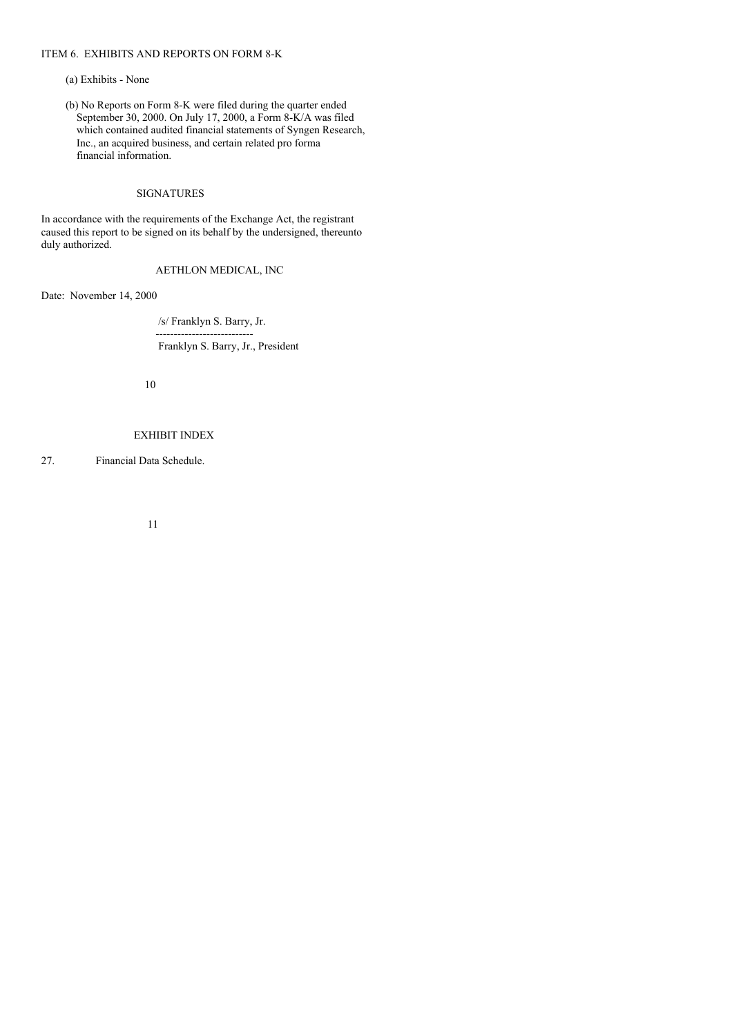# ITEM 6. EXHIBITS AND REPORTS ON FORM 8-K

## (a) Exhibits - None

(b) No Reports on Form 8-K were filed during the quarter ended September 30, 2000. On July 17, 2000, a Form 8-K/A was filed which contained audited financial statements of Syngen Research, Inc., an acquired business, and certain related pro forma financial information.

#### SIGNATURES

In accordance with the requirements of the Exchange Act, the registrant caused this report to be signed on its behalf by the undersigned, thereunto duly authorized.

# AETHLON MEDICAL, INC

Date: November 14, 2000

/s/ Franklyn S. Barry, Jr. ---------------------------

Franklyn S. Barry, Jr., President

10

# EXHIBIT INDEX

27. Financial Data Schedule.

11